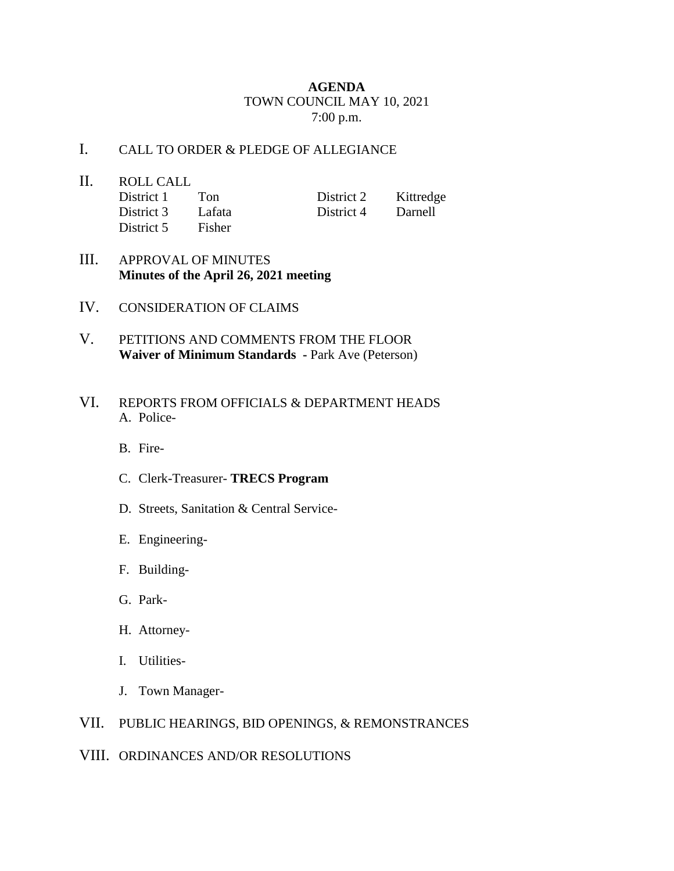## **AGENDA** TOWN COUNCIL MAY 10, 2021 7:00 p.m.

## I. CALL TO ORDER & PLEDGE OF ALLEGIANCE

- II. ROLL CALL District 1 Ton District 2 Kittredge District 3 Lafata District 4 Darnell District 5 Fisher
- III. APPROVAL OF MINUTES **Minutes of the April 26, 2021 meeting**
- IV. CONSIDERATION OF CLAIMS
- V. PETITIONS AND COMMENTS FROM THE FLOOR **Waiver of Minimum Standards -** Park Ave (Peterson)
- VI. REPORTS FROM OFFICIALS & DEPARTMENT HEADS A. Police-
	- B. Fire-
	- C. Clerk-Treasurer- **TRECS Program**
	- D. Streets, Sanitation & Central Service-
	- E. Engineering-
	- F. Building-
	- G. Park-
	- H. Attorney-
	- I. Utilities-
	- J. Town Manager-

## VII. PUBLIC HEARINGS, BID OPENINGS, & REMONSTRANCES

## VIII. ORDINANCES AND/OR RESOLUTIONS